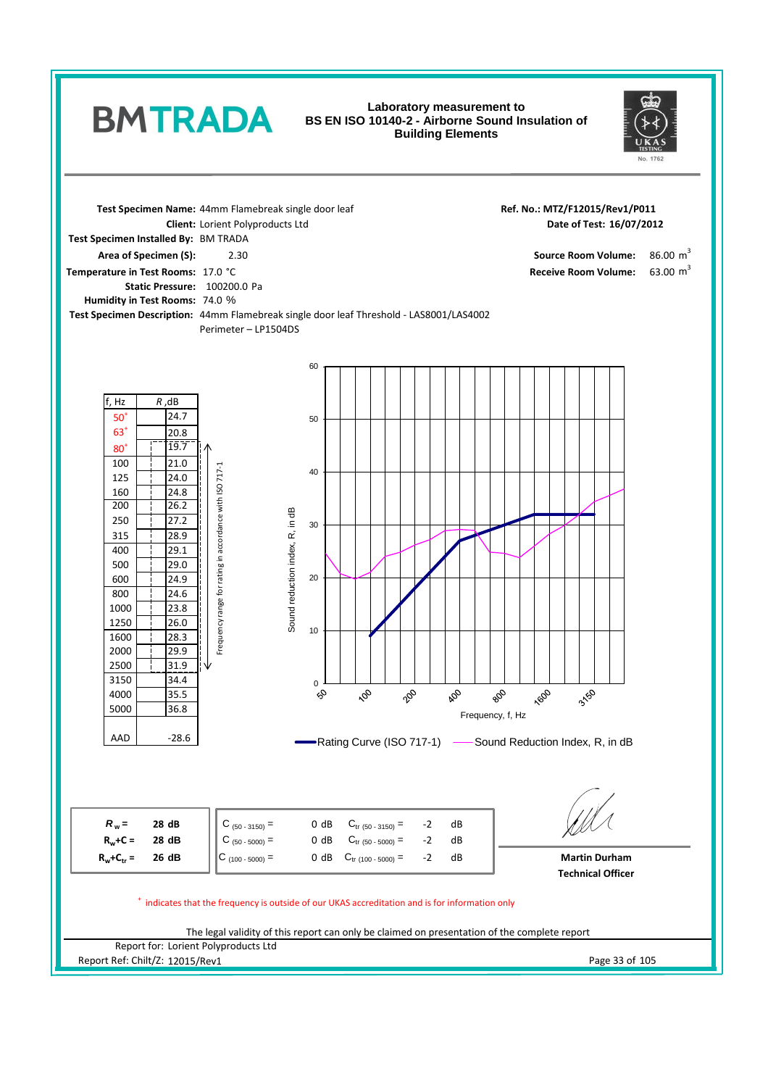